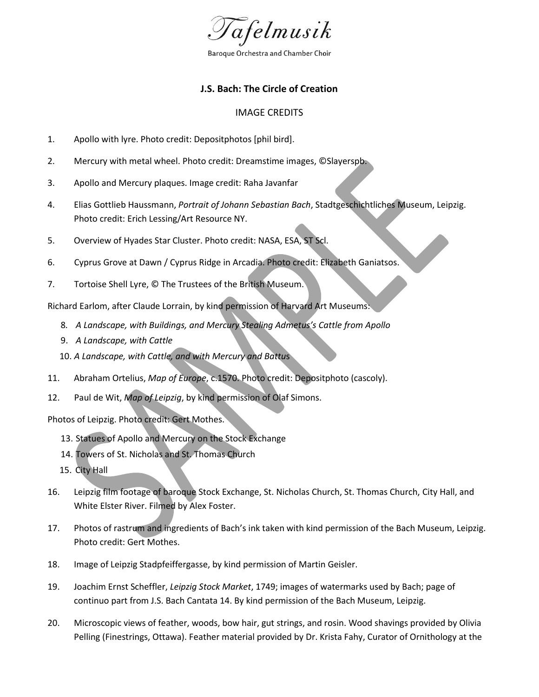

Baroque Orchestra and Chamber Choir

## **J.S. Bach: The Circle of Creation**

## IMAGE CREDITS

- 1. Apollo with lyre. Photo credit: Depositphotos [phil bird].
- 2. Mercury with metal wheel. Photo credit: Dreamstime images, ©Slayerspb.
- 3. Apollo and Mercury plaques. Image credit: Raha Javanfar
- 4. Elias Gottlieb Haussmann, *Portrait of Johann Sebastian Bach*, Stadtgeschichtliches Museum, Leipzig. Photo credit: Erich Lessing/Art Resource NY.
- 5. Overview of Hyades Star Cluster. Photo credit: NASA, ESA, ST Scl.
- 6. Cyprus Grove at Dawn / Cyprus Ridge in Arcadia. Photo credit: Elizabeth Ganiatsos.
- 7. Tortoise Shell Lyre, © The Trustees of the British Museum.

Richard Earlom, after Claude Lorrain, by kind permission of Harvard Art Museums:

- 8*. A Landscape, with Buildings, and Mercury Stealing Admetus's Cattle from Apollo*
- 9. *A Landscape, with Cattle*
- 10. *A Landscape, with Cattle, and with Mercury and Battu*s
- 11. Abraham Ortelius, *Map of Europe*, c.1570. Photo credit: Depositphoto (cascoly).
- 12. Paul de Wit, *Map of Leipzig*, by kind permission of Olaf Simons.

Photos of Leipzig. Photo credit: Gert Mothes.

- 13. Statues of Apollo and Mercury on the Stock Exchange
- 14. Towers of St. Nicholas and St. Thomas Church
- 15. City Hall
- 16. Leipzig film footage of baroque Stock Exchange, St. Nicholas Church, St. Thomas Church, City Hall, and White Elster River. Filmed by Alex Foster.
- 17. Photos of rastrum and ingredients of Bach's ink taken with kind permission of the Bach Museum, Leipzig. Photo credit: Gert Mothes.
- 18. Image of Leipzig Stadpfeiffergasse, by kind permission of Martin Geisler.
- 19. Joachim Ernst Scheffler, *Leipzig Stock Market*, 1749; images of watermarks used by Bach; page of continuo part from J.S. Bach Cantata 14. By kind permission of the Bach Museum, Leipzig.
- 20. Microscopic views of feather, woods, bow hair, gut strings, and rosin. Wood shavings provided by Olivia Pelling (Finestrings, Ottawa). Feather material provided by Dr. Krista Fahy, Curator of Ornithology at the